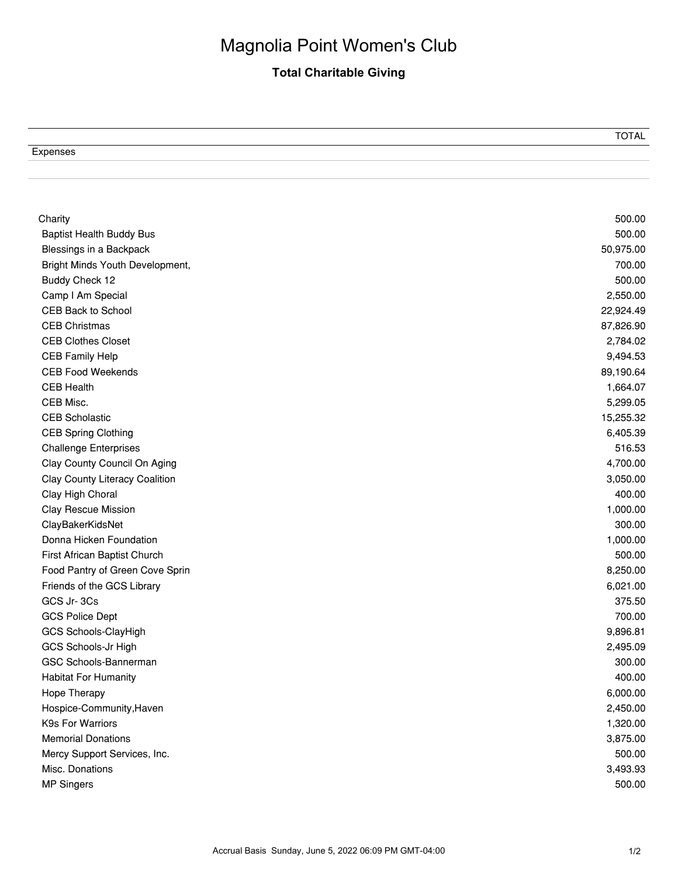## Magnolia Point Women's Club

## **Total Charitable Giving**

|                                                         | ∼ |
|---------------------------------------------------------|---|
| $\overline{\phantom{0}}$<br>Experises<br><b>LAPOHOU</b> |   |

 $\overline{a}$ 

| Charity                                                    | 500.00<br>500.00     |
|------------------------------------------------------------|----------------------|
| <b>Baptist Health Buddy Bus</b>                            |                      |
| Blessings in a Backpack<br>Bright Minds Youth Development, | 50,975.00<br>700.00  |
|                                                            |                      |
| Buddy Check 12                                             | 500.00               |
| Camp I Am Special                                          | 2,550.00             |
| <b>CEB Back to School</b>                                  | 22,924.49            |
| <b>CEB Christmas</b>                                       | 87,826.90            |
| <b>CEB Clothes Closet</b>                                  | 2,784.02<br>9,494.53 |
| <b>CEB Family Help</b>                                     |                      |
| <b>CEB Food Weekends</b>                                   | 89,190.64            |
| <b>CEB Health</b>                                          | 1,664.07             |
| CEB Misc.                                                  | 5,299.05             |
| <b>CEB Scholastic</b>                                      | 15,255.32            |
| <b>CEB Spring Clothing</b>                                 | 6,405.39             |
| <b>Challenge Enterprises</b>                               | 516.53               |
| Clay County Council On Aging                               | 4,700.00             |
| Clay County Literacy Coalition                             | 3,050.00             |
| Clay High Choral                                           | 400.00               |
| <b>Clay Rescue Mission</b>                                 | 1,000.00             |
| ClayBakerKidsNet                                           | 300.00               |
| Donna Hicken Foundation                                    | 1,000.00             |
| First African Baptist Church                               | 500.00               |
| Food Pantry of Green Cove Sprin                            | 8,250.00             |
| Friends of the GCS Library                                 | 6,021.00             |
| GCS Jr-3Cs                                                 | 375.50               |
| <b>GCS Police Dept</b>                                     | 700.00               |
| GCS Schools-ClayHigh                                       | 9,896.81             |
| GCS Schools-Jr High                                        | 2,495.09             |
| GSC Schools-Bannerman                                      | 300.00               |
| <b>Habitat For Humanity</b>                                | 400.00               |
| Hope Therapy                                               | 6,000.00             |
| Hospice-Community, Haven                                   | 2,450.00             |
| K9s For Warriors                                           | 1,320.00             |
| <b>Memorial Donations</b>                                  | 3,875.00             |
| Mercy Support Services, Inc.                               | 500.00               |
| Misc. Donations                                            | 3,493.93             |
| <b>MP Singers</b>                                          | 500.00               |